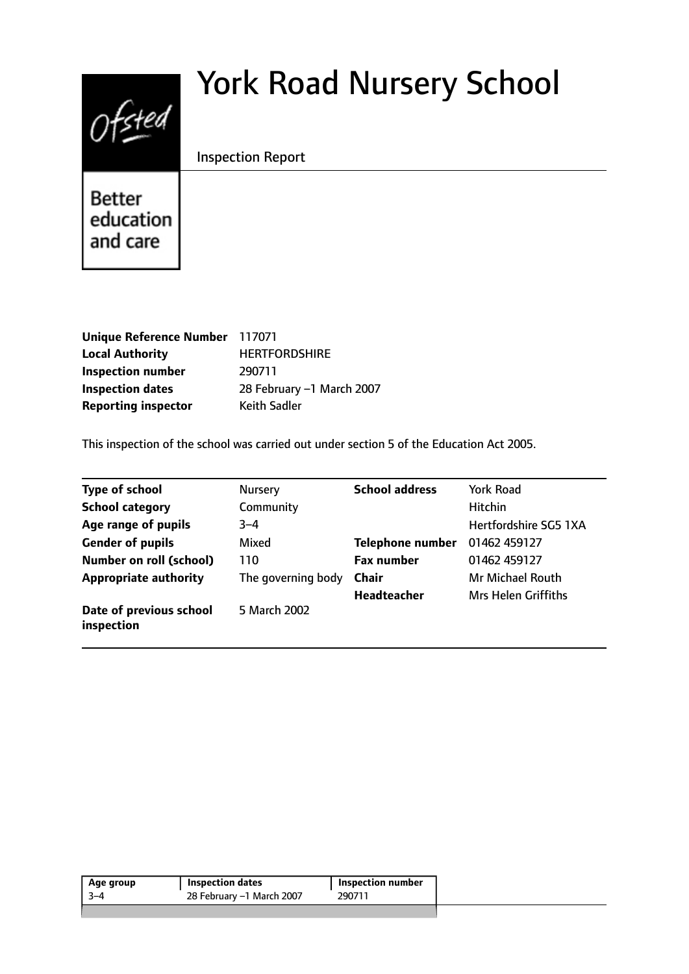# $0$ fsted

# York Road Nursery School

Inspection Report

**Better** education and care

| Unique Reference Number 117071 |                           |
|--------------------------------|---------------------------|
| <b>Local Authority</b>         | <b>HERTFORDSHIRE</b>      |
| <b>Inspection number</b>       | 290711                    |
| <b>Inspection dates</b>        | 28 February -1 March 2007 |
| <b>Reporting inspector</b>     | <b>Keith Sadler</b>       |

This inspection of the school was carried out under section 5 of the Education Act 2005.

| <b>Type of school</b>                 | <b>Nursery</b>     | <b>School address</b>   | <b>York Road</b>           |
|---------------------------------------|--------------------|-------------------------|----------------------------|
| <b>School category</b>                | Community          |                         | <b>Hitchin</b>             |
| Age range of pupils                   | $3 - 4$            |                         | Hertfordshire SG5 1XA      |
| <b>Gender of pupils</b>               | Mixed              | <b>Telephone number</b> | 01462 459127               |
| <b>Number on roll (school)</b>        | 110                | <b>Fax number</b>       | 01462 459127               |
| <b>Appropriate authority</b>          | The governing body | <b>Chair</b>            | <b>Mr Michael Routh</b>    |
|                                       |                    | <b>Headteacher</b>      | <b>Mrs Helen Griffiths</b> |
| Date of previous school<br>inspection | 5 March 2002       |                         |                            |

| Age group | Inspection dates          | Inspection number |
|-----------|---------------------------|-------------------|
| $3 - 4$   | 28 February -1 March 2007 | 290711            |
|           |                           |                   |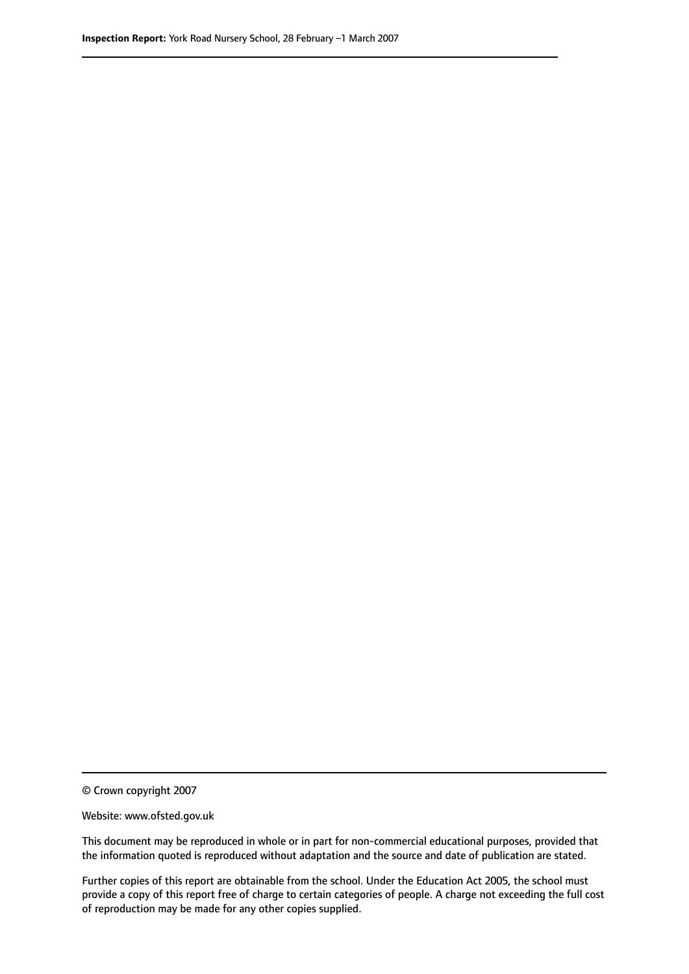© Crown copyright 2007

Website: www.ofsted.gov.uk

This document may be reproduced in whole or in part for non-commercial educational purposes, provided that the information quoted is reproduced without adaptation and the source and date of publication are stated.

Further copies of this report are obtainable from the school. Under the Education Act 2005, the school must provide a copy of this report free of charge to certain categories of people. A charge not exceeding the full cost of reproduction may be made for any other copies supplied.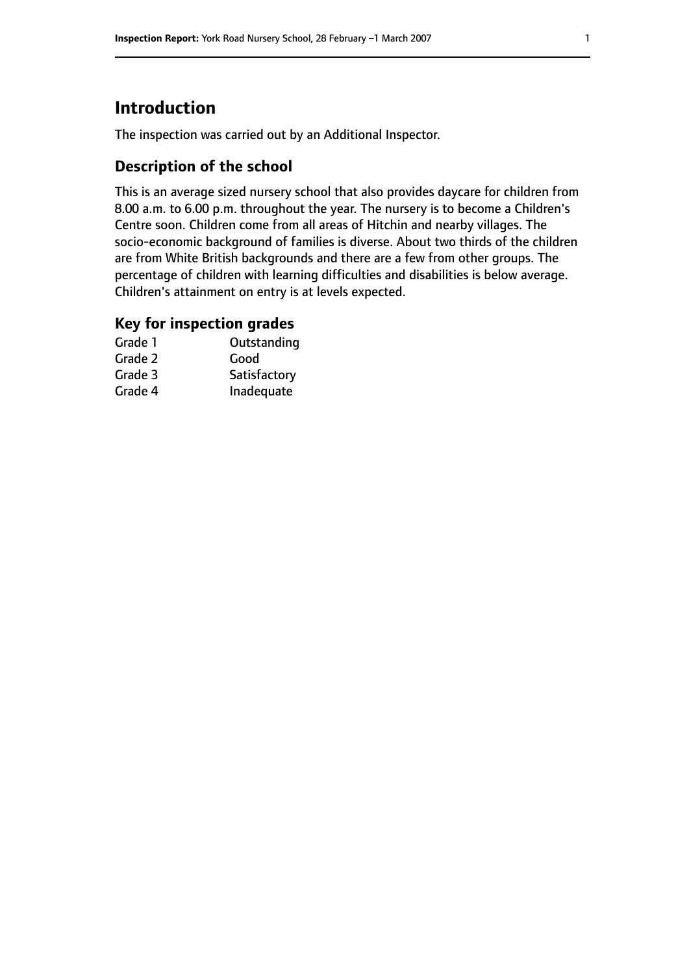# **Introduction**

The inspection was carried out by an Additional Inspector.

## **Description of the school**

This is an average sized nursery school that also provides daycare for children from 8.00 a.m. to 6.00 p.m. throughout the year. The nursery is to become a Children's Centre soon. Children come from all areas of Hitchin and nearby villages. The socio-economic background of families is diverse. About two thirds of the children are from White British backgrounds and there are a few from other groups. The percentage of children with learning difficulties and disabilities is below average. Children's attainment on entry is at levels expected.

## **Key for inspection grades**

| Grade 1 | Outstanding  |
|---------|--------------|
| Grade 2 | Good         |
| Grade 3 | Satisfactory |
| Grade 4 | Inadequate   |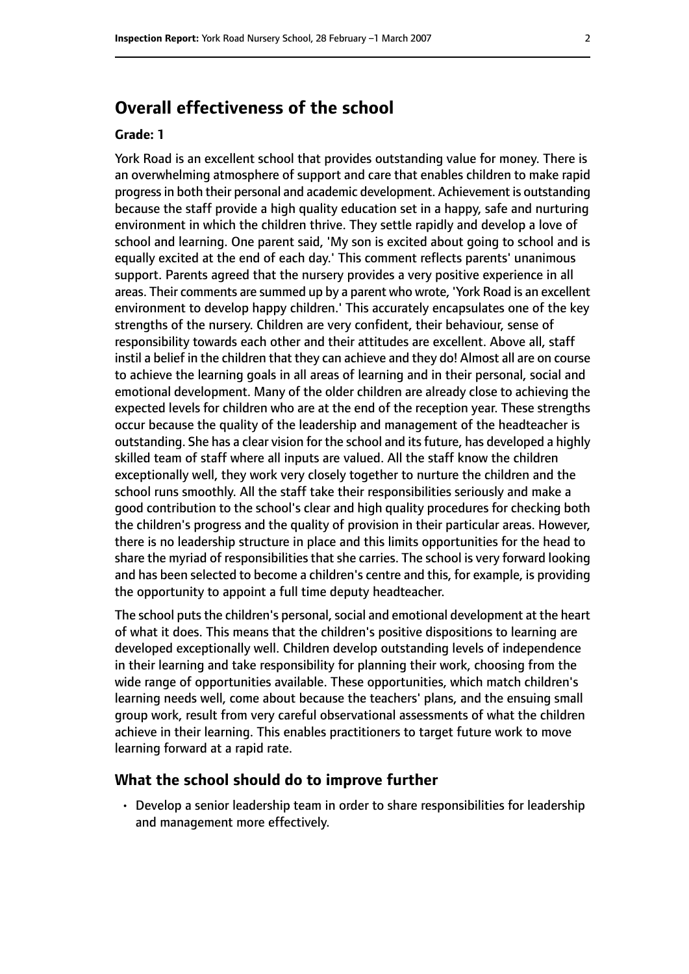# **Overall effectiveness of the school**

#### **Grade: 1**

York Road is an excellent school that provides outstanding value for money. There is an overwhelming atmosphere of support and care that enables children to make rapid progressin both their personal and academic development. Achievement is outstanding because the staff provide a high quality education set in a happy, safe and nurturing environment in which the children thrive. They settle rapidly and develop a love of school and learning. One parent said, 'My son is excited about going to school and is equally excited at the end of each day.' This comment reflects parents' unanimous support. Parents agreed that the nursery provides a very positive experience in all areas. Their comments are summed up by a parent who wrote, 'York Road is an excellent environment to develop happy children.' This accurately encapsulates one of the key strengths of the nursery. Children are very confident, their behaviour, sense of responsibility towards each other and their attitudes are excellent. Above all, staff instil a belief in the children that they can achieve and they do! Almost all are on course to achieve the learning goals in all areas of learning and in their personal, social and emotional development. Many of the older children are already close to achieving the expected levels for children who are at the end of the reception year. These strengths occur because the quality of the leadership and management of the headteacher is outstanding. She has a clear vision for the school and its future, has developed a highly skilled team of staff where all inputs are valued. All the staff know the children exceptionally well, they work very closely together to nurture the children and the school runs smoothly. All the staff take their responsibilities seriously and make a good contribution to the school's clear and high quality procedures for checking both the children's progress and the quality of provision in their particular areas. However, there is no leadership structure in place and this limits opportunities for the head to share the myriad of responsibilities that she carries. The school is very forward looking and has been selected to become a children's centre and this, for example, is providing the opportunity to appoint a full time deputy headteacher.

The school puts the children's personal, social and emotional development at the heart of what it does. This means that the children's positive dispositions to learning are developed exceptionally well. Children develop outstanding levels of independence in their learning and take responsibility for planning their work, choosing from the wide range of opportunities available. These opportunities, which match children's learning needs well, come about because the teachers' plans, and the ensuing small group work, result from very careful observational assessments of what the children achieve in their learning. This enables practitioners to target future work to move learning forward at a rapid rate.

#### **What the school should do to improve further**

• Develop a senior leadership team in order to share responsibilities for leadership and management more effectively.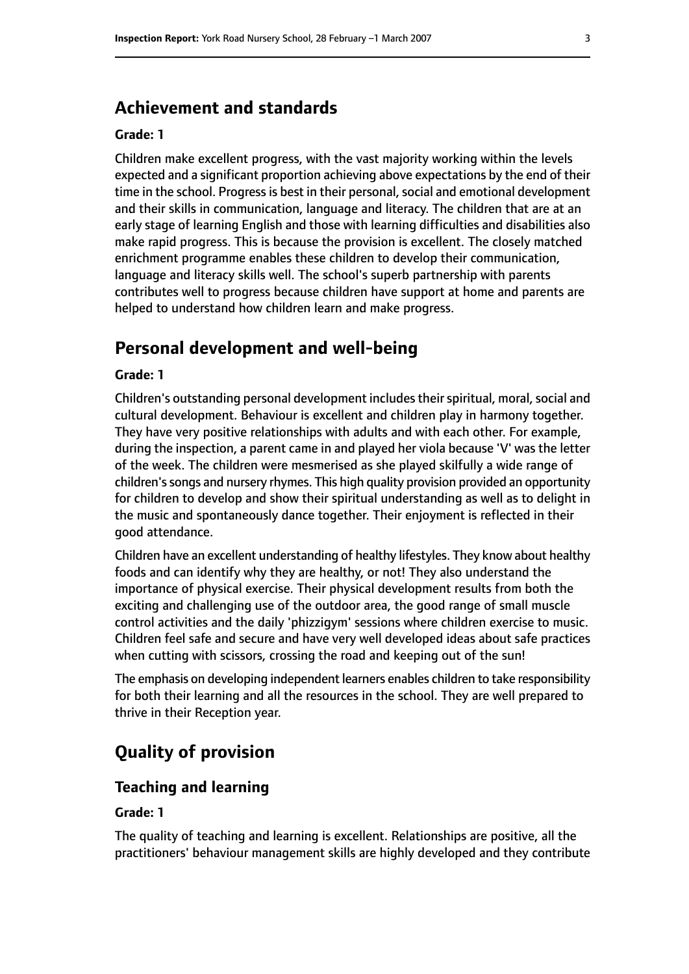# **Achievement and standards**

#### **Grade: 1**

Children make excellent progress, with the vast majority working within the levels expected and a significant proportion achieving above expectations by the end of their time in the school. Progress is best in their personal, social and emotional development and their skills in communication, language and literacy. The children that are at an early stage of learning English and those with learning difficulties and disabilities also make rapid progress. This is because the provision is excellent. The closely matched enrichment programme enables these children to develop their communication, language and literacy skills well. The school's superb partnership with parents contributes well to progress because children have support at home and parents are helped to understand how children learn and make progress.

# **Personal development and well-being**

#### **Grade: 1**

Children's outstanding personal development includes their spiritual, moral, social and cultural development. Behaviour is excellent and children play in harmony together. They have very positive relationships with adults and with each other. For example, during the inspection, a parent came in and played her viola because 'V' was the letter of the week. The children were mesmerised as she played skilfully a wide range of children's songs and nursery rhymes. This high quality provision provided an opportunity for children to develop and show their spiritual understanding as well as to delight in the music and spontaneously dance together. Their enjoyment is reflected in their good attendance.

Children have an excellent understanding of healthy lifestyles. They know about healthy foods and can identify why they are healthy, or not! They also understand the importance of physical exercise. Their physical development results from both the exciting and challenging use of the outdoor area, the good range of small muscle control activities and the daily 'phizzigym' sessions where children exercise to music. Children feel safe and secure and have very well developed ideas about safe practices when cutting with scissors, crossing the road and keeping out of the sun!

The emphasis on developing independent learners enables children to take responsibility for both their learning and all the resources in the school. They are well prepared to thrive in their Reception year.

# **Quality of provision**

#### **Teaching and learning**

#### **Grade: 1**

The quality of teaching and learning is excellent. Relationships are positive, all the practitioners' behaviour management skills are highly developed and they contribute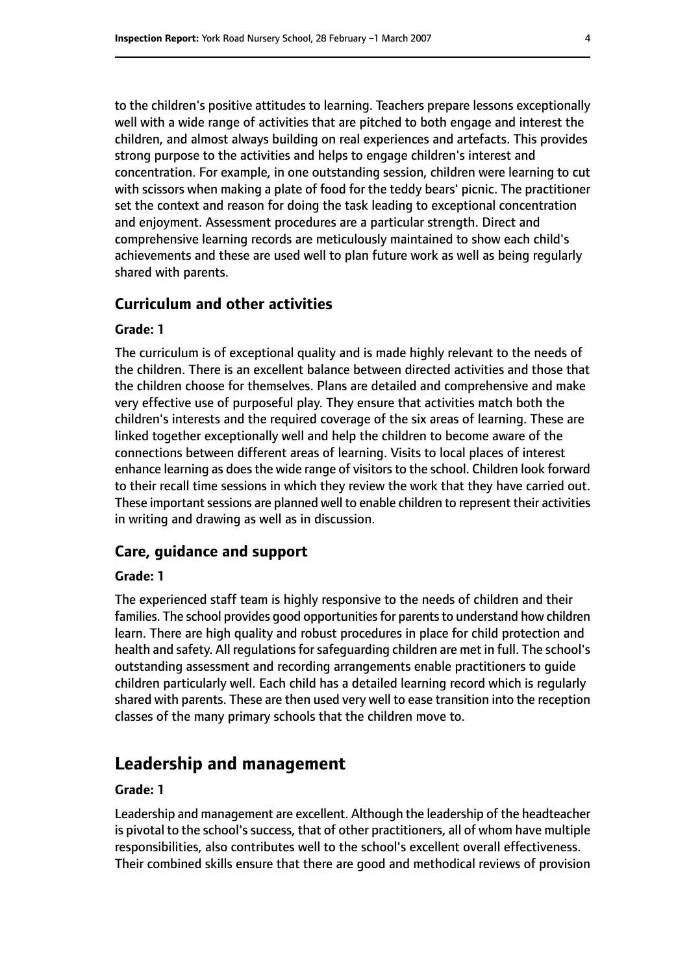to the children's positive attitudes to learning. Teachers prepare lessons exceptionally well with a wide range of activities that are pitched to both engage and interest the children, and almost always building on real experiences and artefacts. This provides strong purpose to the activities and helps to engage children's interest and concentration. For example, in one outstanding session, children were learning to cut with scissors when making a plate of food for the teddy bears' picnic. The practitioner set the context and reason for doing the task leading to exceptional concentration and enjoyment. Assessment procedures are a particular strength. Direct and comprehensive learning records are meticulously maintained to show each child's achievements and these are used well to plan future work as well as being regularly shared with parents.

#### **Curriculum and other activities**

#### **Grade: 1**

The curriculum is of exceptional quality and is made highly relevant to the needs of the children. There is an excellent balance between directed activities and those that the children choose for themselves. Plans are detailed and comprehensive and make very effective use of purposeful play. They ensure that activities match both the children's interests and the required coverage of the six areas of learning. These are linked together exceptionally well and help the children to become aware of the connections between different areas of learning. Visits to local places of interest enhance learning as does the wide range of visitors to the school. Children look forward to their recall time sessions in which they review the work that they have carried out. These important sessions are planned well to enable children to represent their activities in writing and drawing as well as in discussion.

#### **Care, guidance and support**

#### **Grade: 1**

The experienced staff team is highly responsive to the needs of children and their families. The school provides good opportunities for parents to understand how children learn. There are high quality and robust procedures in place for child protection and health and safety. All regulations for safeguarding children are met in full. The school's outstanding assessment and recording arrangements enable practitioners to guide children particularly well. Each child has a detailed learning record which is regularly shared with parents. These are then used very well to ease transition into the reception classes of the many primary schools that the children move to.

# **Leadership and management**

#### **Grade: 1**

Leadership and management are excellent. Although the leadership of the headteacher is pivotal to the school's success, that of other practitioners, all of whom have multiple responsibilities, also contributes well to the school's excellent overall effectiveness. Their combined skills ensure that there are good and methodical reviews of provision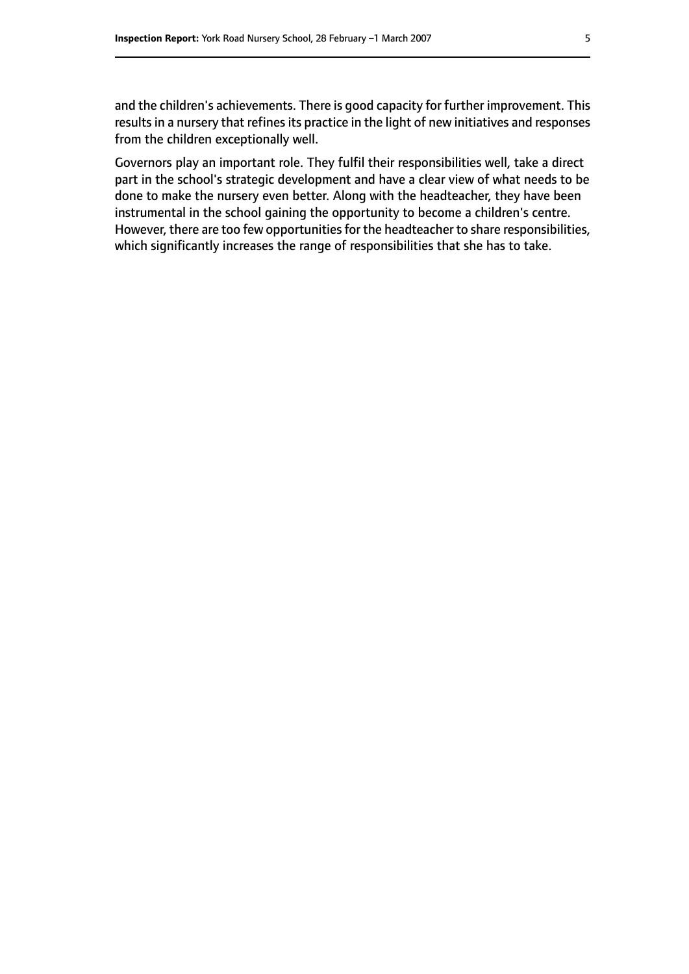and the children's achievements. There is good capacity for further improvement. This results in a nursery that refines its practice in the light of new initiatives and responses from the children exceptionally well.

Governors play an important role. They fulfil their responsibilities well, take a direct part in the school's strategic development and have a clear view of what needs to be done to make the nursery even better. Along with the headteacher, they have been instrumental in the school gaining the opportunity to become a children's centre. However, there are too few opportunities for the headteacher to share responsibilities, which significantly increases the range of responsibilities that she has to take.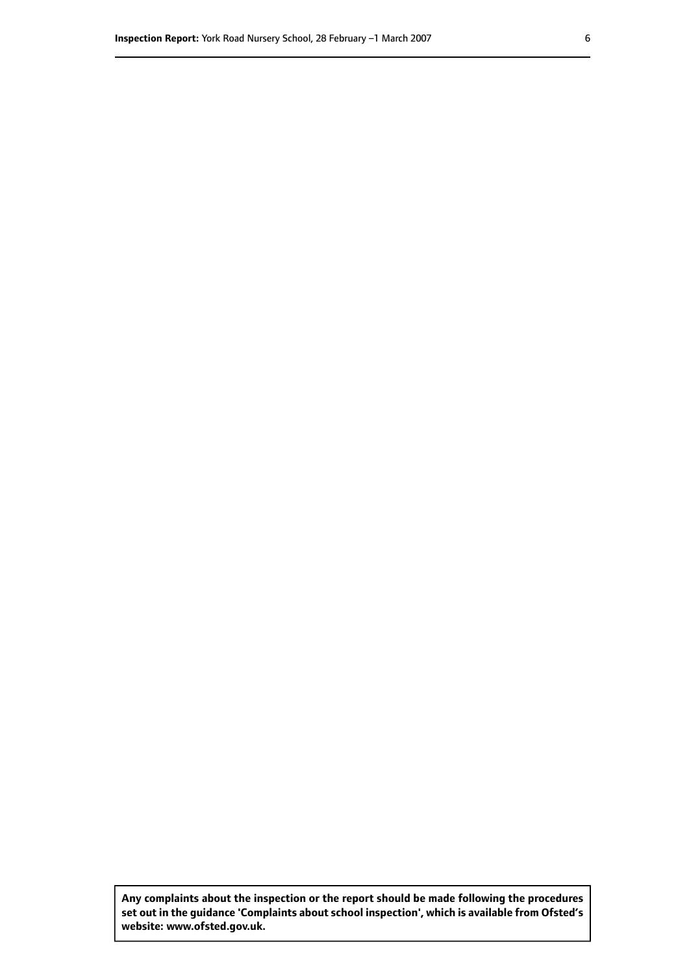**Any complaints about the inspection or the report should be made following the procedures set out inthe guidance 'Complaints about school inspection', whichis available from Ofsted's website: www.ofsted.gov.uk.**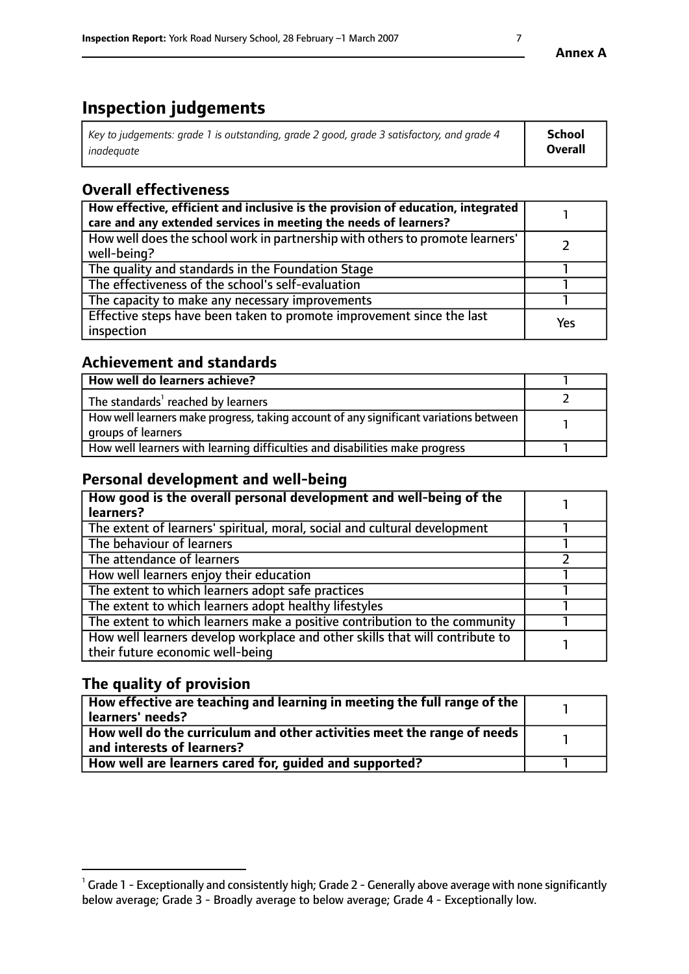# **Inspection judgements**

| Key to judgements: grade 1 is outstanding, grade 2 good, grade 3 satisfactory, and grade 4 | School  |
|--------------------------------------------------------------------------------------------|---------|
| inadeauate                                                                                 | Overall |

# **Overall effectiveness**

| How effective, efficient and inclusive is the provision of education, integrated<br>care and any extended services in meeting the needs of learners? |     |
|------------------------------------------------------------------------------------------------------------------------------------------------------|-----|
| How well does the school work in partnership with others to promote learners'<br>well-being?                                                         |     |
| The quality and standards in the Foundation Stage                                                                                                    |     |
| The effectiveness of the school's self-evaluation                                                                                                    |     |
| The capacity to make any necessary improvements                                                                                                      |     |
| Effective steps have been taken to promote improvement since the last<br>inspection                                                                  | Yes |

# **Achievement and standards**

| How well do learners achieve?                                                                               |  |
|-------------------------------------------------------------------------------------------------------------|--|
| The standards <sup>1</sup> reached by learners                                                              |  |
| How well learners make progress, taking account of any significant variations between<br>groups of learners |  |
| How well learners with learning difficulties and disabilities make progress                                 |  |

# **Personal development and well-being**

| How good is the overall personal development and well-being of the<br>learners?                                  |  |
|------------------------------------------------------------------------------------------------------------------|--|
| The extent of learners' spiritual, moral, social and cultural development                                        |  |
| The behaviour of learners                                                                                        |  |
| The attendance of learners                                                                                       |  |
| How well learners enjoy their education                                                                          |  |
| The extent to which learners adopt safe practices                                                                |  |
| The extent to which learners adopt healthy lifestyles                                                            |  |
| The extent to which learners make a positive contribution to the community                                       |  |
| How well learners develop workplace and other skills that will contribute to<br>their future economic well-being |  |

# **The quality of provision**

| How effective are teaching and learning in meeting the full range of the<br>  learners' needs?                      |  |
|---------------------------------------------------------------------------------------------------------------------|--|
| $\mid$ How well do the curriculum and other activities meet the range of needs<br>$\mid$ and interests of learners? |  |
| How well are learners cared for, guided and supported?                                                              |  |

 $^1$  Grade 1 - Exceptionally and consistently high; Grade 2 - Generally above average with none significantly below average; Grade 3 - Broadly average to below average; Grade 4 - Exceptionally low.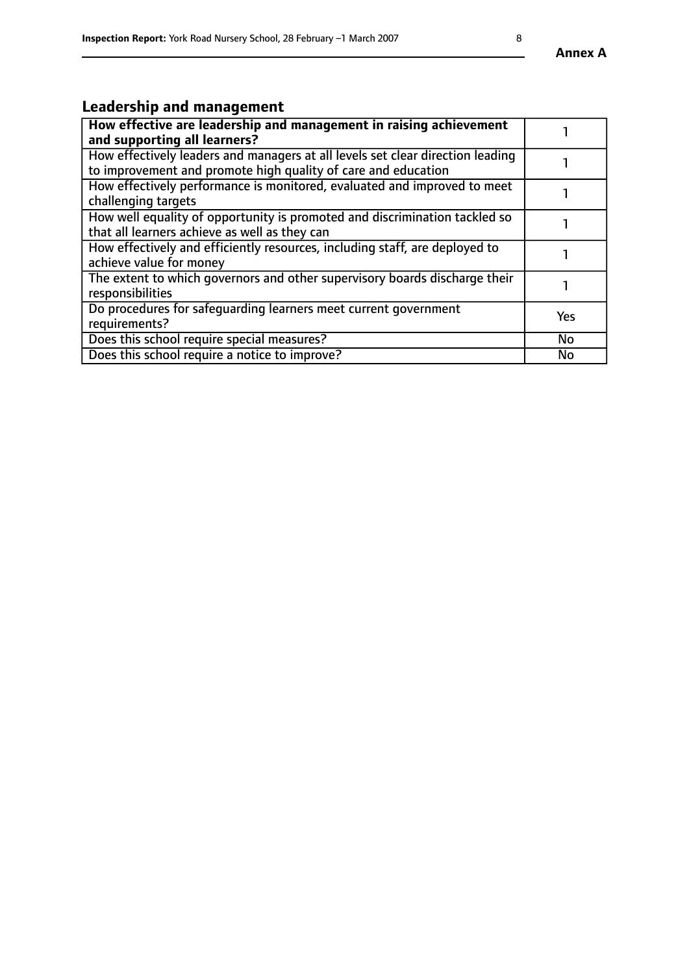# **Leadership and management**

| How effective are leadership and management in raising achievement<br>and supporting all learners?                                              |           |
|-------------------------------------------------------------------------------------------------------------------------------------------------|-----------|
| How effectively leaders and managers at all levels set clear direction leading<br>to improvement and promote high quality of care and education |           |
| How effectively performance is monitored, evaluated and improved to meet<br>challenging targets                                                 |           |
| How well equality of opportunity is promoted and discrimination tackled so<br>that all learners achieve as well as they can                     |           |
| How effectively and efficiently resources, including staff, are deployed to<br>achieve value for money                                          |           |
| The extent to which governors and other supervisory boards discharge their<br>responsibilities                                                  |           |
| Do procedures for safequarding learners meet current government<br>requirements?                                                                | Yes       |
| Does this school require special measures?                                                                                                      | <b>No</b> |
| Does this school require a notice to improve?                                                                                                   | No        |